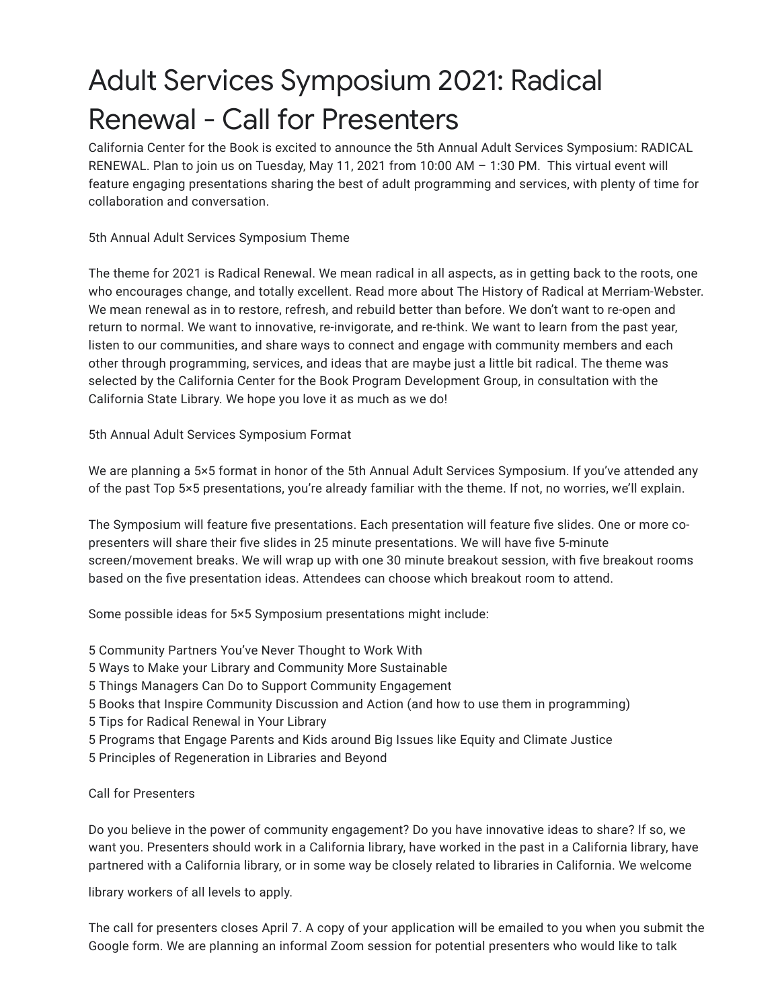# Adult Services Symposium 2021: Radical Renewal - Call for Presenters

California Center for the Book is excited to announce the 5th Annual Adult Services Symposium: RADICAL RENEWAL. Plan to join us on Tuesday, May 11, 2021 from 10:00 AM – 1:30 PM. This virtual event will feature engaging presentations sharing the best of adult programming and services, with plenty of time for collaboration and conversation.

5th Annual Adult Services Symposium Theme

The theme for 2021 is Radical Renewal. We mean radical in all aspects, as in getting back to the roots, one who encourages change, and totally excellent. Read more about The History of Radical at Merriam-Webster. We mean renewal as in to restore, refresh, and rebuild better than before. We don't want to re-open and return to normal. We want to innovative, re-invigorate, and re-think. We want to learn from the past year, listen to our communities, and share ways to connect and engage with community members and each other through programming, services, and ideas that are maybe just a little bit radical. The theme was selected by the California Center for the Book Program Development Group, in consultation with the California State Library. We hope you love it as much as we do!

5th Annual Adult Services Symposium Format

We are planning a 5×5 format in honor of the 5th Annual Adult Services Symposium. If you've attended any of the past Top 5×5 presentations, you're already familiar with the theme. If not, no worries, we'll explain.

The Symposium will feature five presentations. Each presentation will feature five slides. One or more copresenters will share their five slides in 25 minute presentations. We will have five 5-minute screen/movement breaks. We will wrap up with one 30 minute breakout session, with five breakout rooms based on the five presentation ideas. Attendees can choose which breakout room to attend.

Some possible ideas for 5×5 Symposium presentations might include:

- 5 Community Partners You've Never Thought to Work With
- 5 Ways to Make your Library and Community More Sustainable
- 5 Things Managers Can Do to Support Community Engagement
- 5 Books that Inspire Community Discussion and Action (and how to use them in programming)
- 5 Tips for Radical Renewal in Your Library
- 5 Programs that Engage Parents and Kids around Big Issues like Equity and Climate Justice
- 5 Principles of Regeneration in Libraries and Beyond

Call for Presenters

Do you believe in the power of community engagement? Do you have innovative ideas to share? If so, we want you. Presenters should work in a California library, have worked in the past in a California library, have partnered with a California library, or in some way be closely related to libraries in California. We welcome

library workers of all levels to apply.

The call for presenters closes April 7. A copy of your application will be emailed to you when you submit the Google form. We are planning an informal Zoom session for potential presenters who would like to talk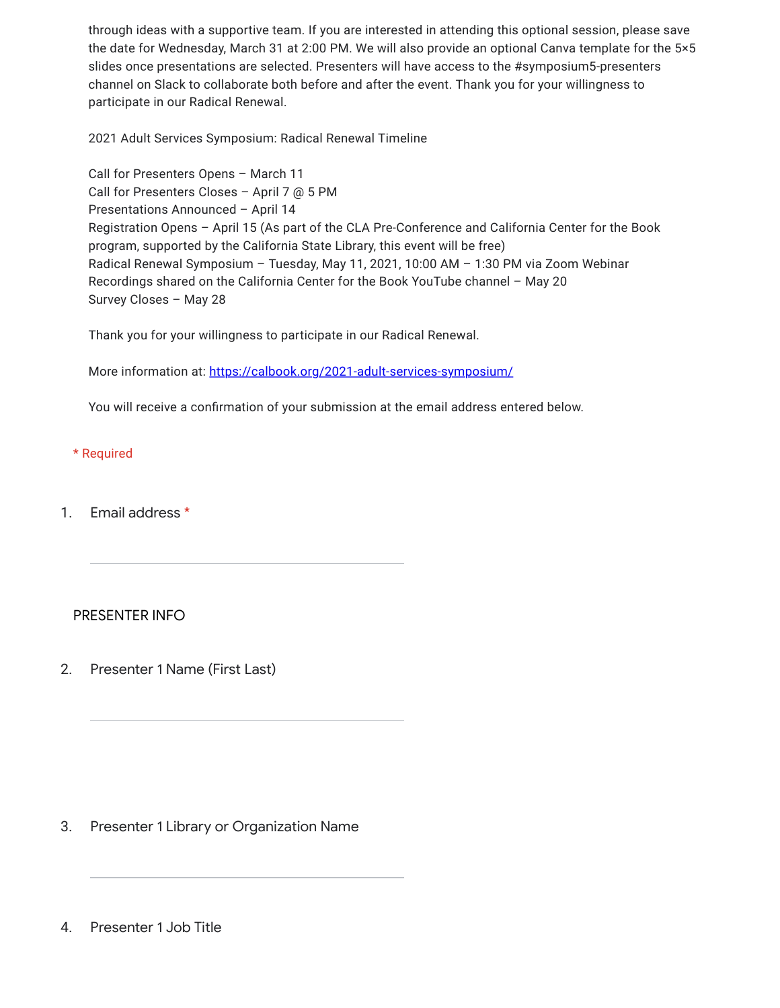through ideas with a supportive team. If you are interested in attending this optional session, please save the date for Wednesday, March 31 at 2:00 PM. We will also provide an optional Canva template for the 5×5 slides once presentations are selected. Presenters will have access to the #symposium5-presenters channel on Slack to collaborate both before and after the event. Thank you for your willingness to participate in our Radical Renewal.

2021 Adult Services Symposium: Radical Renewal Timeline

Call for Presenters Opens – March 11 Call for Presenters Closes – April 7 @ 5 PM Presentations Announced – April 14 Registration Opens – April 15 (As part of the CLA Pre-Conference and California Center for the Book program, supported by the California State Library, this event will be free) Radical Renewal Symposium – Tuesday, May 11, 2021, 10:00 AM – 1:30 PM via Zoom Webinar Recordings shared on the California Center for the Book YouTube channel – May 20 Survey Closes – May 28

Thank you for your willingness to participate in our Radical Renewal.

More information at: [https://calbook.org/2021-adult-services-symposium/](https://www.google.com/url?q=https://calbook.org/2021-adult-services-symposium/&sa=D&source=editors&ust=1615509462995000&usg=AFQjCNHoAJe0dNs0ruCDfJUzfPlTf89baQ)

You will receive a confirmation of your submission at the email address entered below.

\* Required

1. Email address \*

PRESENTER INFO

2. Presenter 1 Name (First Last)

3. Presenter 1 Library or Organization Name

4. Presenter 1 Job Title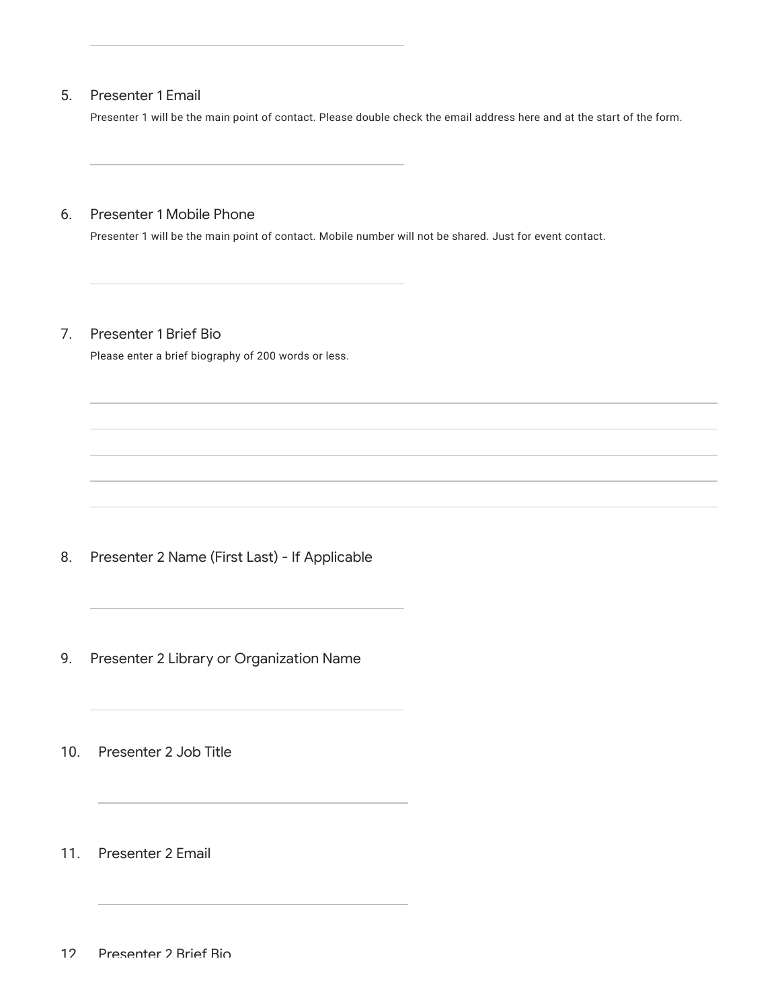### 5. Presenter 1 Email

Presenter 1 will be the main point of contact. Please double check the email address here and at the start of the form.

### 6. Presenter 1 Mobile Phone

Presenter 1 will be the main point of contact. Mobile number will not be shared. Just for event contact.

## 7. Presenter 1 Brief Bio

Please enter a brief biography of 200 words or less.

- 8. Presenter 2 Name (First Last) - If Applicable
- 9. Presenter 2 Library or Organization Name
- 10. Presenter 2 Job Title

### 11. Presenter 2 Email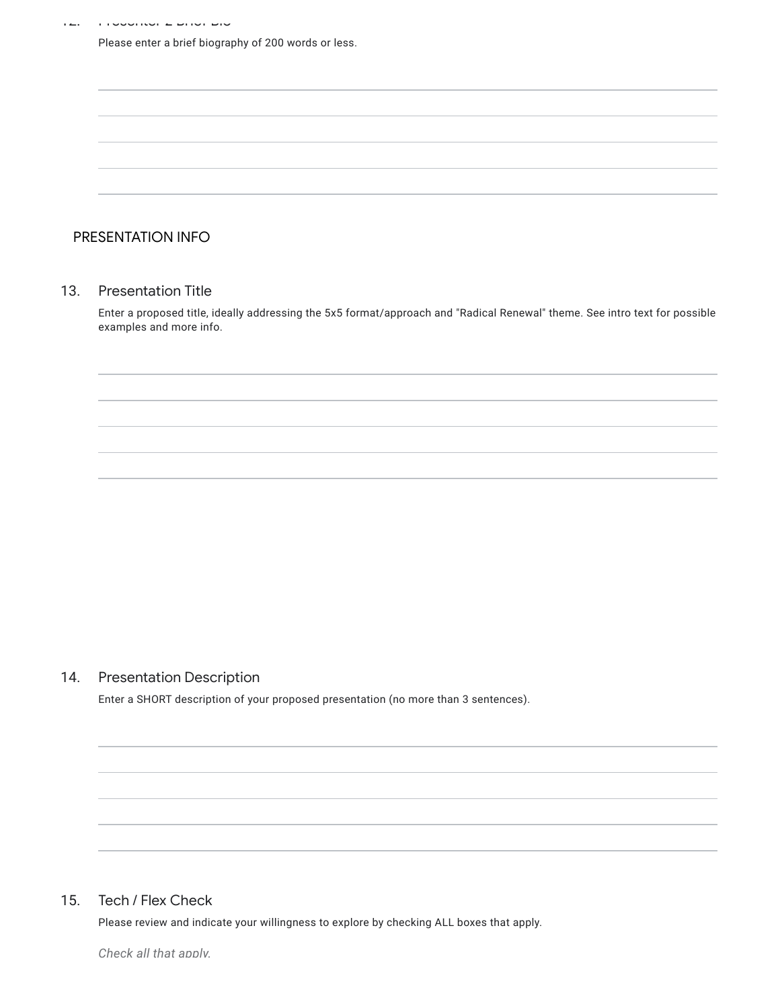$12.2$ Presenter 2 Brief Bio

Please enter a brief biography of 200 words or less.

# PRESENTATION INFO

### 13. Presentation Title

Enter a proposed title, ideally addressing the 5x5 format/approach and "Radical Renewal" theme. See intro text for possible examples and more info.

### 14. Presentation Description

Enter a SHORT description of your proposed presentation (no more than 3 sentences).

### 15. Tech / Flex Check

Please review and indicate your willingness to explore by checking ALL boxes that apply.

*Check all that apply.*